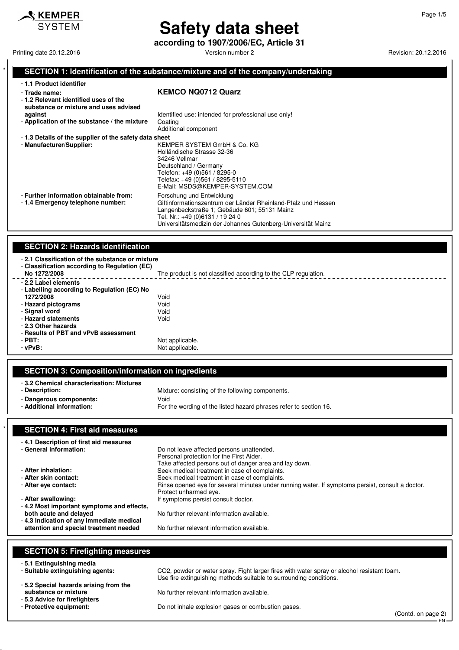

# **Safety data sheet**

**according to 1907/2006/EC, Article 31**

Printing date 20.12.2016 **Version number 2 Version number 2** Revision: 20.12.2016

#### SECTION 1: Identification of the substance/mixture and of the company/undertaking

| - 1.1 Product identifier                                                                                                                                  |                                                                                                                                                                                                                                               |  |  |
|-----------------------------------------------------------------------------------------------------------------------------------------------------------|-----------------------------------------------------------------------------------------------------------------------------------------------------------------------------------------------------------------------------------------------|--|--|
| - Trade name:<br>-1.2 Relevant identified uses of the<br>substance or mixture and uses advised<br>against<br>- Application of the substance / the mixture | <b>KEMCO NQ0712 Quarz</b><br>Identified use: intended for professional use only!<br>Coating                                                                                                                                                   |  |  |
| -1.3 Details of the supplier of the safety data sheet<br>- Manufacturer/Supplier:                                                                         | Additional component<br>KEMPER SYSTEM GmbH & Co. KG<br>Holländische Strasse 32-36<br>34246 Vellmar<br>Deutschland / Germany<br>Telefon: +49 (0)561 / 8295-0<br>Telefax: +49 (0)561 / 8295-5110<br>E-Mail: MSDS@KEMPER-SYSTEM.COM              |  |  |
| - Further information obtainable from:<br>-1.4 Emergency telephone number:                                                                                | Forschung und Entwicklung<br>Giftinformationszentrum der Länder Rheinland-Pfalz und Hessen<br>Langenbeckstraße 1; Gebäude 601; 55131 Mainz<br>Tel. Nr.: +49 (0)6131 / 19 24 0<br>Universitätsmedizin der Johannes Gutenberg-Universität Mainz |  |  |

#### **SECTION 2: Hazards identification**

| -2.1 Classification of the substance or mixture<br>- Classification according to Regulation (EC)<br>No 1272/2008                                                       | The product is not classified according to the CLP regulation. |
|------------------------------------------------------------------------------------------------------------------------------------------------------------------------|----------------------------------------------------------------|
| - 2.2 Label elements<br>- Labelling according to Regulation (EC) No<br>1272/2008<br>- Hazard pictograms<br>- Signal word<br>- Hazard statements<br>- 2.3 Other hazards | Void<br>Void<br>Void<br>Void                                   |
| - Results of PBT and vPvB assessment<br>$-$ PBT:<br>$-vPvB$ :                                                                                                          | Not applicable.<br>Not applicable.                             |

#### **SECTION 3: Composition/information on ingredients**

| -3.2 Chemical characterisation: Mixtures |                                                                   |
|------------------------------------------|-------------------------------------------------------------------|
| - Description:                           | Mixture: consisting of the following components.                  |
| - Dangerous components:                  | Void                                                              |
| - Additional information:                | For the wording of the listed hazard phrases refer to section 16. |
|                                          |                                                                   |

### **SECTION 4: First aid measures**

| -4.1 Description of first aid measures    |                                                                                                  |
|-------------------------------------------|--------------------------------------------------------------------------------------------------|
| - General information:                    | Do not leave affected persons unattended.                                                        |
|                                           | Personal protection for the First Aider.                                                         |
|                                           | Take affected persons out of danger area and lay down.                                           |
| - After inhalation:                       | Seek medical treatment in case of complaints.                                                    |
| - After skin contact:                     | Seek medical treatment in case of complaints.                                                    |
| - After eye contact:                      | Rinse opened eve for several minutes under running water. If symptoms persist, consult a doctor. |
|                                           | Protect unharmed eye.                                                                            |
| - After swallowing:                       | If symptoms persist consult doctor.                                                              |
| -4.2 Most important symptoms and effects, |                                                                                                  |
| both acute and delayed                    | No further relevant information available.                                                       |
| -4.3 Indication of any immediate medical  |                                                                                                  |
| attention and special treatment needed    | No further relevant information available.                                                       |

#### **SECTION 5: Firefighting measures**

- **5.1 Extinguishing media**
- **5.2 Special hazards arising from the**
- 
- **5.3 Advice for firefighters**

CO2, powder or water spray. Fight larger fires with water spray or alcohol resistant foam. Use fire extinguishing methods suitable to surrounding conditions.

No further relevant information available.

Do not inhale explosion gases or combustion gases.

(Contd. on page 2) EN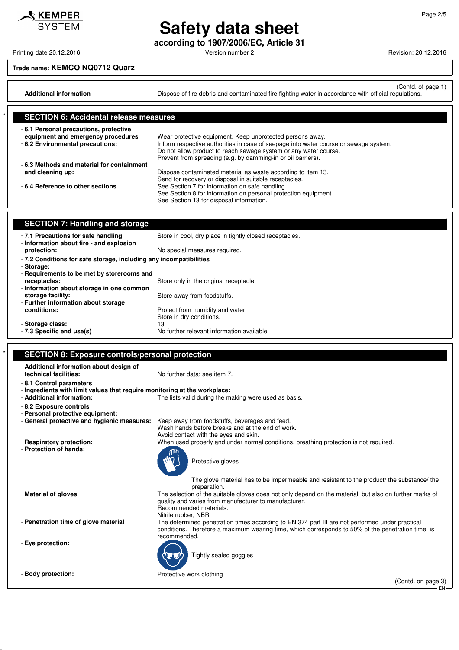**Safety data sheet according to 1907/2006/EC, Article 31**

### **Trade name: KEMCO NQ0712 Quarz**

(Contd. of page 1) - **Additional information Dispose of fire debris and contaminated fire fighting water in accordance with official regulations.** 

| <b>SECTION 6: Accidental release measures</b>                               |                                                                                      |
|-----------------------------------------------------------------------------|--------------------------------------------------------------------------------------|
| -6.1 Personal precautions, protective<br>equipment and emergency procedures | Wear protective equipment. Keep unprotected persons away.                            |
| - 6.2 Environmental precautions:                                            | Inform respective authorities in case of seepage into water course or sewage system. |
|                                                                             | Do not allow product to reach sewage system or any water course.                     |
|                                                                             | Prevent from spreading (e.g. by damming-in or oil barriers).                         |
| -6.3 Methods and material for containment                                   |                                                                                      |
| and cleaning up:                                                            | Dispose contaminated material as waste according to item 13.                         |
|                                                                             | Send for recovery or disposal in suitable receptacles.                               |
| -6.4 Reference to other sections                                            | See Section 7 for information on safe handling.                                      |
|                                                                             | See Section 8 for information on personal protection equipment.                      |
|                                                                             | See Section 13 for disposal information.                                             |

| <b>SECTION 7: Handling and storage</b>                                           |                                                         |  |
|----------------------------------------------------------------------------------|---------------------------------------------------------|--|
| -7.1 Precautions for safe handling<br>- Information about fire - and explosion   | Store in cool, dry place in tightly closed receptacles. |  |
| protection:                                                                      | No special measures required.                           |  |
| - 7.2 Conditions for safe storage, including any incompatibilities<br>- Storage: |                                                         |  |
| - Requirements to be met by storerooms and                                       |                                                         |  |
| receptacles:                                                                     | Store only in the original receptacle.                  |  |
| - Information about storage in one common                                        |                                                         |  |
| storage facility:                                                                | Store away from foodstuffs.                             |  |
| - Further information about storage                                              |                                                         |  |
| conditions:                                                                      | Protect from humidity and water.                        |  |
|                                                                                  | Store in dry conditions.                                |  |
| - Storage class:                                                                 | 13                                                      |  |
| - 7.3 Specific end use(s)                                                        | No further relevant information available.              |  |

|  | <b>SECTION 8: Exposure controls/personal protection</b> |  |
|--|---------------------------------------------------------|--|
|  |                                                         |  |

| - Additional information about design of<br>technical facilities:                                      | No further data: see item 7.                                                                                                                                                                                          |
|--------------------------------------------------------------------------------------------------------|-----------------------------------------------------------------------------------------------------------------------------------------------------------------------------------------------------------------------|
| -8.1 Control parameters                                                                                |                                                                                                                                                                                                                       |
| - Ingredients with limit values that require monitoring at the workplace:<br>- Additional information: | The lists valid during the making were used as basis.                                                                                                                                                                 |
| - 8.2 Exposure controls<br>- Personal protective equipment:                                            |                                                                                                                                                                                                                       |
| - General protective and hygienic measures:                                                            | Keep away from foodstuffs, beverages and feed.<br>Wash hands before breaks and at the end of work.<br>Avoid contact with the eyes and skin.                                                                           |
| - Respiratory protection:                                                                              | When used properly and under normal conditions, breathing protection is not required.                                                                                                                                 |
| - Protection of hands:                                                                                 | Protective gloves                                                                                                                                                                                                     |
|                                                                                                        | The glove material has to be impermeable and resistant to the product the substance the<br>preparation.                                                                                                               |
| - Material of gloves                                                                                   | The selection of the suitable gloves does not only depend on the material, but also on further marks of<br>quality and varies from manufacturer to manufacturer.<br>Recommended materials:<br>Nitrile rubber, NBR     |
| - Penetration time of glove material                                                                   | The determined penetration times according to EN 374 part III are not performed under practical<br>conditions. Therefore a maximum wearing time, which corresponds to 50% of the penetration time, is<br>recommended. |
| - Eye protection:                                                                                      | Tightly sealed goggles                                                                                                                                                                                                |
| - Body protection:                                                                                     | Protective work clothing                                                                                                                                                                                              |
|                                                                                                        | (Contd. on page 3)                                                                                                                                                                                                    |
|                                                                                                        | EN·                                                                                                                                                                                                                   |



 $\mathcal$ **KEMPER** 

Printing date 20.12.2016 **Principal and COVID-12** Version number 2 Revision: 20.12.2016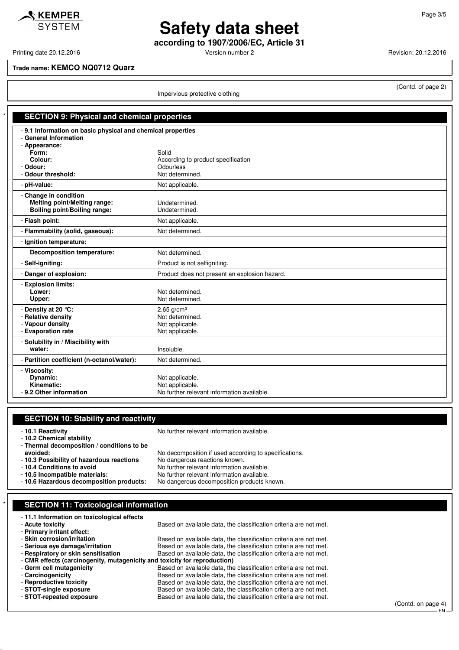$\triangle$  KEMPER **SYSTEM** 

## **Safety data sheet according to 1907/2006/EC, Article 31**

Printing date 20.12.2016 **Version number 2 Version number 2** Revision: 20.12.2016

(Contd. of page 2)

#### **Trade name: KEMCO NQ0712 Quarz**

Impervious protective clothing

| <b>SECTION 9: Physical and chemical properties</b>                                                  |                                                                                   |
|-----------------------------------------------------------------------------------------------------|-----------------------------------------------------------------------------------|
| -9.1 Information on basic physical and chemical properties<br>- General Information                 |                                                                                   |
| - Appearance:<br>Form:<br>Colour:<br>- Odour:                                                       | Solid<br>According to product specification<br><b>Odourless</b>                   |
| - Odour threshold:<br>- pH-value:                                                                   | Not determined.                                                                   |
|                                                                                                     | Not applicable.                                                                   |
| - Change in condition<br><b>Melting point/Melting range:</b><br><b>Boiling point/Boiling range:</b> | Undetermined.<br>Undetermined.                                                    |
| - Flash point:                                                                                      | Not applicable.                                                                   |
| - Flammability (solid, gaseous):                                                                    | Not determined.                                                                   |
| - Ignition temperature:                                                                             |                                                                                   |
| Decomposition temperature:                                                                          | Not determined.                                                                   |
| - Self-igniting:                                                                                    | Product is not selfigniting.                                                      |
| - Danger of explosion:                                                                              | Product does not present an explosion hazard.                                     |
| - Explosion limits:<br>Lower:<br>Upper:                                                             | Not determined.<br>Not determined.                                                |
| - Density at 20 °C:<br>- Relative density<br>- Vapour density<br>- Evaporation rate                 | $2.65$ g/cm <sup>3</sup><br>Not determined.<br>Not applicable.<br>Not applicable. |
| - Solubility in / Miscibility with<br>water:                                                        | Insoluble.                                                                        |
| - Partition coefficient (n-octanol/water):                                                          | Not determined.                                                                   |
| - Viscosity:<br>Dynamic:<br>Kinematic:<br>- 9.2 Other information                                   | Not applicable.<br>Not applicable.<br>No further relevant information available.  |

#### **SECTION 10: Stability and reactivity**

- **10.1 Reactivity** No further relevant information available.

- **10.2 Chemical stability**

- **Thermal decomposition / conditions to be**

No decomposition if used according to specifications.

- **10.3 Possibility of hazardous reactions** No dangerous reactions known.

- **10.4 Conditions to avoid**<br>**- 10.5 Incompatible materials:** No further relevant information available. No further relevant information available.<br>No dangerous decomposition products known.

- **10.6 Hazardous decomposition products:** 

| <b>SECTION 11: Toxicological information</b>                              |                                                                   |  |
|---------------------------------------------------------------------------|-------------------------------------------------------------------|--|
| -11.1 Information on toxicological effects                                |                                                                   |  |
| - Acute toxicity                                                          | Based on available data, the classification criteria are not met. |  |
| - Primary irritant effect:                                                |                                                                   |  |
| - Skin corrosion/irritation                                               | Based on available data, the classification criteria are not met. |  |
| - Serious eve damage/irritation                                           | Based on available data, the classification criteria are not met. |  |
| - Respiratory or skin sensitisation                                       | Based on available data, the classification criteria are not met. |  |
| - CMR effects (carcinogenity, mutagenicity and toxicity for reproduction) |                                                                   |  |
| - Germ cell mutagenicity                                                  | Based on available data, the classification criteria are not met. |  |
| - Carcinogenicity                                                         | Based on available data, the classification criteria are not met. |  |
| - Reproductive toxicity                                                   | Based on available data, the classification criteria are not met. |  |
| - STOT-single exposure                                                    | Based on available data, the classification criteria are not met. |  |

- **STOT-repeated exposure** Based on available data, the classification criteria are not met.

(Contd. on page 4) EN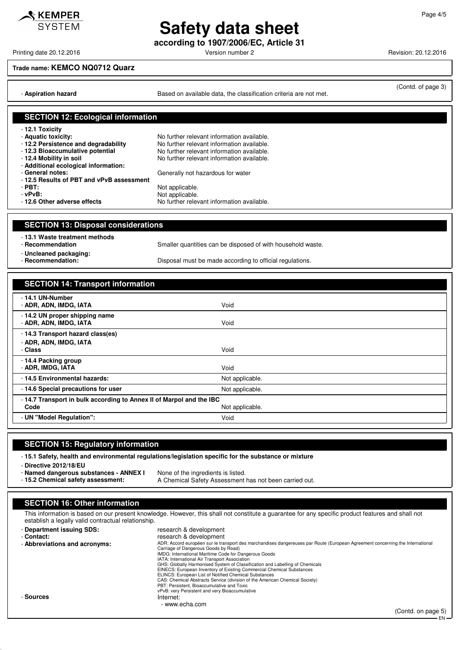### **Safety data sheet according to 1907/2006/EC, Article 31**

Printing date 20.12.2016 **Principal and Contract Contract Contract Contract Contract Contract Contract Contract Contract Contract Contract Contract Contract Contract Contract Contract Contract Contract Contract Contract Co** 

 $\mathbf{\mathcal{S}}$  KEMPER

#### **Trade name: KEMCO NQ0712 Quarz**

- **Aspiration hazard Based on available data, the classification criteria are not met.** 

(Contd. of page 3)

#### **SECTION 12: Ecological information** - **12.1 Toxicity** - **Aquatic toxicity:**<br> **- 12.2 Persistence and degradability** No further relevant information available. No further relevant information available. - **12.3 Bioaccumulative potential** No further relevant information available.<br>- **12.4 Mobility in soil** No further relevant information available. No further relevant information available. - **Additional ecological information:** Generally not hazardous for water - **12.5 Results of PBT and vPvB assessment** - **PBT:** Not applicable. verballeright of **PVB:**<br> **- 12.6 Other adverse effects**<br>
No further releving No further relevant information available. **SECTION 13: Disposal considerations** - **13.1 Waste treatment methods** Smaller quantities can be disposed of with household waste. - **Uncleaned packaging:** Disposal must be made according to official regulations. **SECTION 14: Transport information** - **14.1 UN-Number** - **ADR, ADN, IMDG, IATA** Void - **14.2 UN proper shipping name** - **ADR, ADN, IMDG, IATA** Void - **14.3 Transport hazard class(es)** - **ADR, ADN, IMDG, IATA** - **Class** Void

| - Class                                                             | Void            |
|---------------------------------------------------------------------|-----------------|
| - 14.4 Packing group<br>- ADR, IMDG, IATA                           | Void            |
| - 14.5 Environmental hazards:                                       | Not applicable. |
| -14.6 Special precautions for user                                  | Not applicable. |
| -14.7 Transport in bulk according to Annex II of Marpol and the IBC |                 |
| Code                                                                | Not applicable. |
| - UN "Model Requiation":                                            | Void            |

#### **SECTION 15: Regulatory information**

- **15.1 Safety, health and environmental regulations/legislation specific for the substance or mixture**

- **Directive 2012/18/EU**

- **Named dangerous substances ANNEX I** None of the ingredients is listed.
- **15.2 Chemical safety assessment:** A Chemical Safety Assessment has not been carried out.

#### **SECTION 16: Other information**

This information is based on our present knowledge. However, this shall not constitute a guarantee for any specific product features and shall not establish a legally valid contractual relationship.

| - Department issuing SDS:     | research & development                                                                                                                                                |
|-------------------------------|-----------------------------------------------------------------------------------------------------------------------------------------------------------------------|
| - Contact:                    | research & development                                                                                                                                                |
| - Abbreviations and acronyms: | ADR: Accord européen sur le transport des marchandises dangereuses par Route (European Agreement concerning the International<br>Carriage of Dangerous Goods by Road) |
|                               | IMDG: International Maritime Code for Dangerous Goods                                                                                                                 |
|                               | IATA: International Air Transport Association                                                                                                                         |
|                               | GHS: Globally Harmonised System of Classification and Labelling of Chemicals                                                                                          |
|                               | EINECS: European Inventory of Existing Commercial Chemical Substances                                                                                                 |
|                               | ELINCS: European List of Notified Chemical Substances                                                                                                                 |
|                               | CAS: Chemical Abstracts Service (division of the American Chemical Society)                                                                                           |
|                               | PBT: Persistent, Bioaccumulative and Toxic                                                                                                                            |
|                               | vPvB: very Persistent and very Bioaccumulative                                                                                                                        |
| - Sources                     | Internet:                                                                                                                                                             |
|                               | - www.echa.com                                                                                                                                                        |